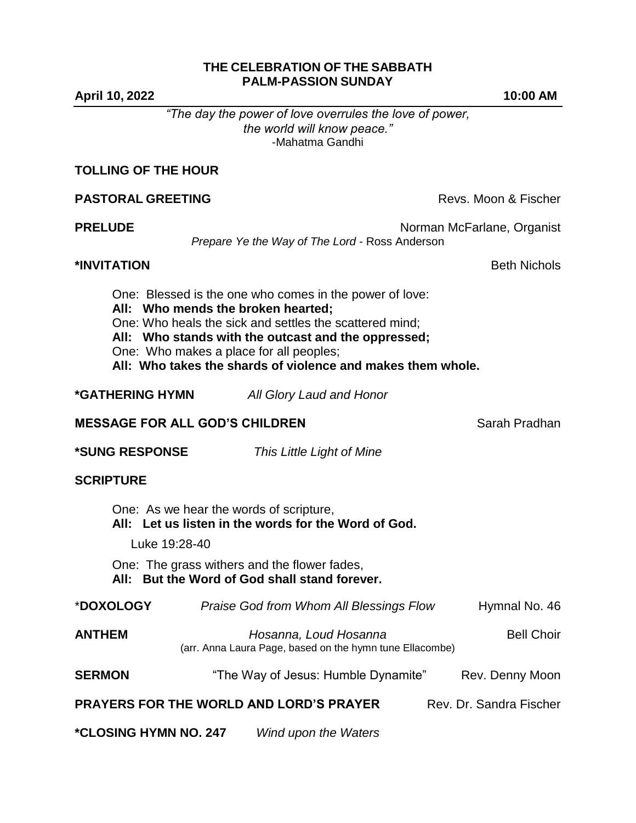## **THE CELEBRATION OF THE SABBATH PALM-PASSION SUNDAY**

**April 10, 2022 10:00 AM**

*"The day the power of love overrules the love of power, the world will know peace."* -Mahatma Gandhi

**PASTORAL GREETING** Revs. Moon & Fischer

## **TOLLING OF THE HOUR**

| <b>PRELUDE</b>                        | Prepare Ye the Way of The Lord - Ross Anderson                                                                                                                                                                                                                                                                            | Norman McFarlane, Organist |
|---------------------------------------|---------------------------------------------------------------------------------------------------------------------------------------------------------------------------------------------------------------------------------------------------------------------------------------------------------------------------|----------------------------|
| *INVITATION                           |                                                                                                                                                                                                                                                                                                                           | <b>Beth Nichols</b>        |
|                                       | One: Blessed is the one who comes in the power of love:<br>All: Who mends the broken hearted;<br>One: Who heals the sick and settles the scattered mind;<br>All: Who stands with the outcast and the oppressed;<br>One: Who makes a place for all peoples;<br>All: Who takes the shards of violence and makes them whole. |                            |
| <b>*GATHERING HYMN</b>                | All Glory Laud and Honor                                                                                                                                                                                                                                                                                                  |                            |
| <b>MESSAGE FOR ALL GOD'S CHILDREN</b> |                                                                                                                                                                                                                                                                                                                           | Sarah Pradhan              |
| *SUNG RESPONSE                        | This Little Light of Mine                                                                                                                                                                                                                                                                                                 |                            |
| <b>SCRIPTURE</b>                      |                                                                                                                                                                                                                                                                                                                           |                            |
|                                       | One: As we hear the words of scripture,<br>All: Let us listen in the words for the Word of God.                                                                                                                                                                                                                           |                            |
| Luke 19:28-40                         |                                                                                                                                                                                                                                                                                                                           |                            |
|                                       | One: The grass withers and the flower fades,<br>All: But the Word of God shall stand forever.                                                                                                                                                                                                                             |                            |
| *DOXOLOGY                             | Praise God from Whom All Blessings Flow                                                                                                                                                                                                                                                                                   | Hymnal No. 46              |
| <b>ANTHEM</b>                         | Hosanna, Loud Hosanna                                                                                                                                                                                                                                                                                                     | <b>Bell Choir</b>          |

(arr. Anna Laura Page, based on the hymn tune Ellacombe)

**SERMON** "The Way of Jesus: Humble Dynamite" Rev. Denny Moon

**PRAYERS FOR THE WORLD AND LORD'S PRAYER** Rev. Dr. Sandra Fischer

**\*CLOSING HYMN NO. 247** *Wind upon the Waters*